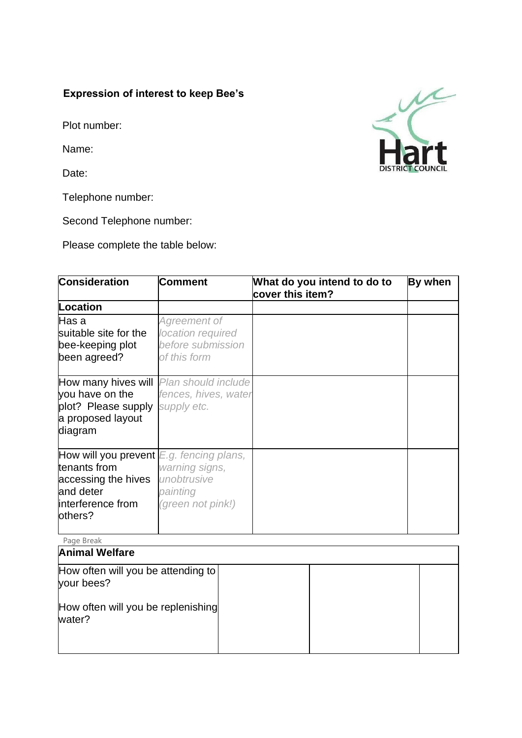## **Expression of interest to keep Bee's**

Plot number:

Name:

Date:

your bees?

water?

How often will you be replenishing

Telephone number:

Second Telephone number:

Please complete the table below:

| Consideration                                                                                                                  | Comment                                                                | What do you intend to do to<br>cover this item? | By when |
|--------------------------------------------------------------------------------------------------------------------------------|------------------------------------------------------------------------|-------------------------------------------------|---------|
| Location                                                                                                                       |                                                                        |                                                 |         |
| Has a<br>suitable site for the<br>bee-keeping plot<br>been agreed?                                                             | Agreement of<br>location required<br>before submission<br>of this form |                                                 |         |
| How many hives will<br>you have on the<br>plot? Please supply<br>a proposed layout<br>diagram                                  | Plan should include<br>fences, hives, water<br>supply etc.             |                                                 |         |
| How will you prevent $E.g.$ fencing plans,<br>tenants from<br>accessing the hives<br>and deter<br>interference from<br>others? | warning signs,<br>unobtrusive<br>painting<br>(green not pink!)         |                                                 |         |
| Page Break                                                                                                                     |                                                                        |                                                 |         |
| <b>Animal Welfare</b>                                                                                                          |                                                                        |                                                 |         |
| How often will you be attending to                                                                                             |                                                                        |                                                 |         |